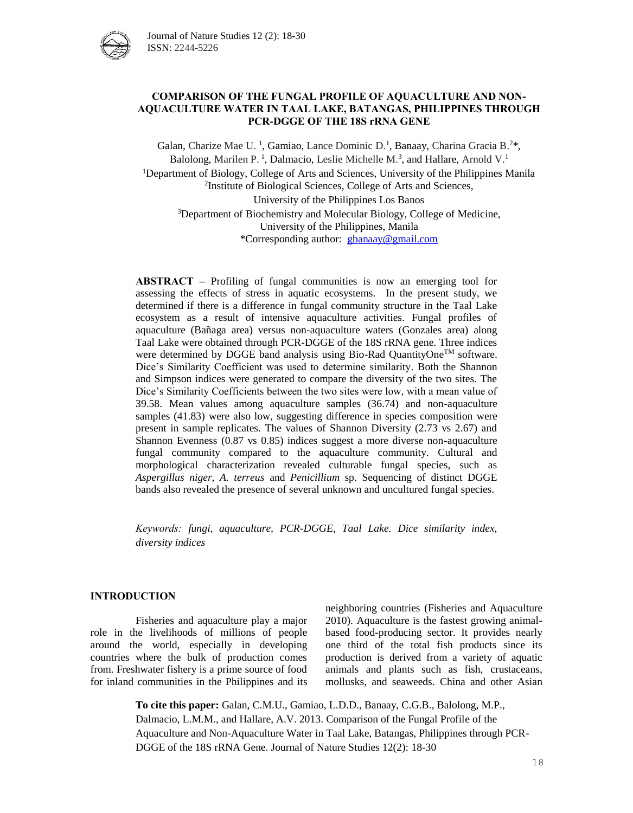

## **COMPARISON OF THE FUNGAL PROFILE OF AQUACULTURE AND NON-AQUACULTURE WATER IN TAAL LAKE, BATANGAS, PHILIPPINES THROUGH PCR-DGGE OF THE 18S rRNA GENE**

Galan, Charize Mae U.<sup>1</sup>, Gamiao, Lance Dominic D.<sup>1</sup>, Banaay, Charina Gracia B.<sup>2\*</sup>, Balolong, Marilen P.<sup>1</sup>, Dalmacio, Leslie Michelle M.<sup>3</sup>, and Hallare, Arnold V.<sup>1</sup> <sup>1</sup>Department of Biology, College of Arts and Sciences, University of the Philippines Manila 2 Institute of Biological Sciences, College of Arts and Sciences, University of the Philippines Los Banos <sup>3</sup>Department of Biochemistry and Molecular Biology, College of Medicine, University of the Philippines, Manila \*Corresponding author: [gbanaay@gmail.com](mailto:gbanaay@gmail.com)

**ABSTRACT –** Profiling of fungal communities is now an emerging tool for assessing the effects of stress in aquatic ecosystems. In the present study, we determined if there is a difference in fungal community structure in the Taal Lake ecosystem as a result of intensive aquaculture activities. Fungal profiles of aquaculture (Bañaga area) versus non-aquaculture waters (Gonzales area) along Taal Lake were obtained through PCR-DGGE of the 18S rRNA gene. Three indices were determined by DGGE band analysis using Bio-Rad QuantityOne™ software. Dice's Similarity Coefficient was used to determine similarity. Both the Shannon and Simpson indices were generated to compare the diversity of the two sites. The Dice's Similarity Coefficients between the two sites were low, with a mean value of 39.58. Mean values among aquaculture samples (36.74) and non-aquaculture samples (41.83) were also low, suggesting difference in species composition were present in sample replicates. The values of Shannon Diversity (2.73 vs 2.67) and Shannon Evenness (0.87 vs 0.85) indices suggest a more diverse non-aquaculture fungal community compared to the aquaculture community. Cultural and morphological characterization revealed culturable fungal species, such as *Aspergillus niger, A. terreus* and *Penicillium* sp. Sequencing of distinct DGGE bands also revealed the presence of several unknown and uncultured fungal species.

*Keywords: fungi, aquaculture, PCR-DGGE, Taal Lake. Dice similarity index, diversity indices*

### **INTRODUCTION**

Fisheries and aquaculture play a major role in the livelihoods of millions of people around the world, especially in developing countries where the bulk of production comes from. Freshwater fishery is a prime source of food for inland communities in the Philippines and its neighboring countries (Fisheries and Aquaculture 2010). Aquaculture is the fastest growing animalbased food-producing sector. It provides nearly one third of the total fish products since its production is derived from a variety of aquatic animals and plants such as fish, crustaceans, mollusks, and seaweeds. China and other Asian

**To cite this paper:** Galan, C.M.U., Gamiao, L.D.D., Banaay, C.G.B., Balolong, M.P., Dalmacio, L.M.M., and Hallare, A.V. 2013. Comparison of the Fungal Profile of the Aquaculture and Non-Aquaculture Water in Taal Lake, Batangas, Philippines through PCR-DGGE of the 18S rRNA Gene. Journal of Nature Studies 12(2): 18-30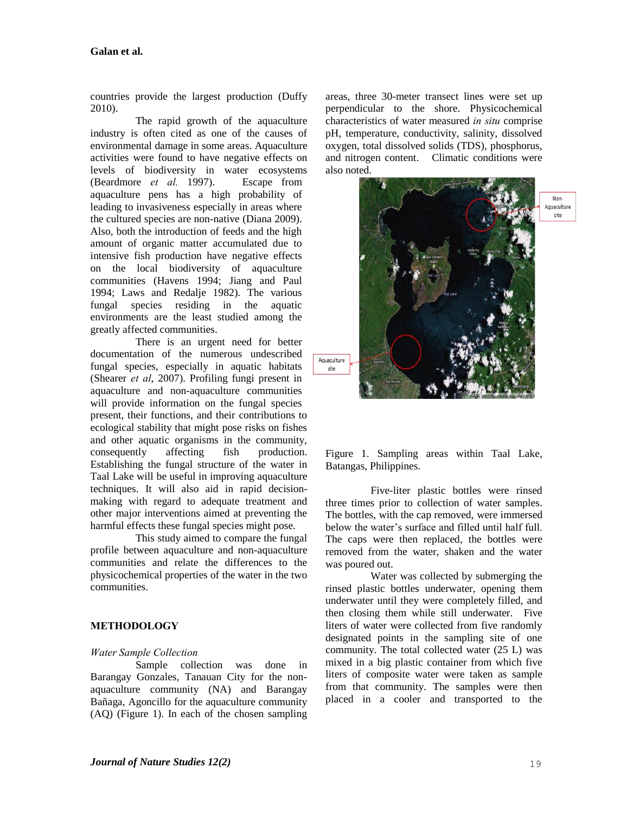countries provide the largest production (Duffy 2010).

The rapid growth of the aquaculture industry is often cited as one of the causes of environmental damage in some areas. Aquaculture activities were found to have negative effects on levels of biodiversity in water ecosystems (Beardmore *et al.* 1997). Escape from aquaculture pens has a high probability of leading to invasiveness especially in areas where the cultured species are non-native (Diana 2009). Also, both the introduction of feeds and the high amount of organic matter accumulated due to intensive fish production have negative effects on the local biodiversity of aquaculture communities (Havens 1994; Jiang and Paul 1994; Laws and Redalje 1982). The various fungal species residing in the aquatic environments are the least studied among the greatly affected communities.

There is an urgent need for better documentation of the numerous undescribed fungal species, especially in aquatic habitats (Shearer *et al*, 2007). Profiling fungi present in aquaculture and non-aquaculture communities will provide information on the fungal species present, their functions, and their contributions to ecological stability that might pose risks on fishes and other aquatic organisms in the community, consequently affecting fish production. Establishing the fungal structure of the water in Taal Lake will be useful in improving aquaculture techniques. It will also aid in rapid decisionmaking with regard to adequate treatment and other major interventions aimed at preventing the harmful effects these fungal species might pose.

This study aimed to compare the fungal profile between aquaculture and non-aquaculture communities and relate the differences to the physicochemical properties of the water in the two communities.

# **METHODOLOGY**

#### *Water Sample Collection*

Sample collection was done in Barangay Gonzales, Tanauan City for the nonaquaculture community (NA) and Barangay Bañaga, Agoncillo for the aquaculture community (AQ) (Figure 1). In each of the chosen sampling areas, three 30-meter transect lines were set up perpendicular to the shore. Physicochemical characteristics of water measured *in situ* comprise pH, temperature, conductivity, salinity, dissolved oxygen, total dissolved solids (TDS), phosphorus, and nitrogen content. Climatic conditions were also noted.



Figure 1. Sampling areas within Taal Lake, Batangas, Philippines.

Five-liter plastic bottles were rinsed three times prior to collection of water samples. The bottles, with the cap removed, were immersed below the water's surface and filled until half full. The caps were then replaced, the bottles were removed from the water, shaken and the water was poured out.

Water was collected by submerging the rinsed plastic bottles underwater, opening them underwater until they were completely filled, and then closing them while still underwater. Five liters of water were collected from five randomly designated points in the sampling site of one community. The total collected water (25 L) was mixed in a big plastic container from which five liters of composite water were taken as sample from that community. The samples were then placed in a cooler and transported to the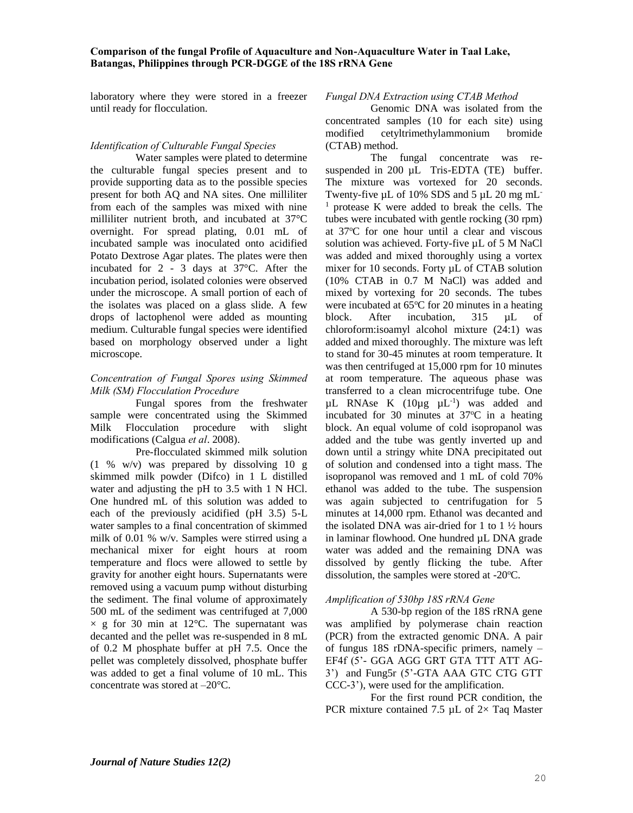laboratory where they were stored in a freezer until ready for flocculation.

# *Identification of Culturable Fungal Species*

Water samples were plated to determine the culturable fungal species present and to provide supporting data as to the possible species present for both AQ and NA sites. One milliliter from each of the samples was mixed with nine milliliter nutrient broth, and incubated at 37°C overnight. For spread plating, 0.01 mL of incubated sample was inoculated onto acidified Potato Dextrose Agar plates. The plates were then incubated for 2 - 3 days at 37°C. After the incubation period, isolated colonies were observed under the microscope. A small portion of each of the isolates was placed on a glass slide. A few drops of lactophenol were added as mounting medium. Culturable fungal species were identified based on morphology observed under a light microscope.

#### *Concentration of Fungal Spores using Skimmed Milk (SM) Flocculation Procedure*

Fungal spores from the freshwater sample were concentrated using the Skimmed Milk Flocculation procedure with slight modifications (Calgua *et al*. 2008).

Pre-flocculated skimmed milk solution (1 % w/v) was prepared by dissolving 10 g skimmed milk powder (Difco) in 1 L distilled water and adjusting the pH to 3.5 with 1 N HCl. One hundred mL of this solution was added to each of the previously acidified (pH 3.5) 5-L water samples to a final concentration of skimmed milk of 0.01 % w/v. Samples were stirred using a mechanical mixer for eight hours at room temperature and flocs were allowed to settle by gravity for another eight hours. Supernatants were removed using a vacuum pump without disturbing the sediment. The final volume of approximately 500 mL of the sediment was centrifuged at 7,000  $\times$  g for 30 min at 12°C. The supernatant was decanted and the pellet was re-suspended in 8 mL of 0.2 M phosphate buffer at pH 7.5. Once the pellet was completely dissolved, phosphate buffer was added to get a final volume of 10 mL. This concentrate was stored at –20°C.

#### *Fungal DNA Extraction using CTAB Method*

Genomic DNA was isolated from the concentrated samples (10 for each site) using modified cetyltrimethylammonium bromide (CTAB) method.

The fungal concentrate was resuspended in 200 µL Tris-EDTA (TE) buffer. The mixture was vortexed for 20 seconds. Twenty-five µL of 10% SDS and 5 µL 20 mg mL <sup>1</sup> protease K were added to break the cells. The tubes were incubated with gentle rocking (30 rpm) at 37<sup>o</sup>C for one hour until a clear and viscous solution was achieved. Forty-five  $\mu$ L of 5 M NaCl was added and mixed thoroughly using a vortex mixer for 10 seconds. Forty µL of CTAB solution (10% CTAB in 0.7 M NaCl) was added and mixed by vortexing for 20 seconds. The tubes were incubated at  $65^{\circ}$ C for 20 minutes in a heating block. After incubation, 315 uL of chloroform:isoamyl alcohol mixture (24:1) was added and mixed thoroughly. The mixture was left to stand for 30-45 minutes at room temperature. It was then centrifuged at 15,000 rpm for 10 minutes at room temperature. The aqueous phase was transferred to a clean microcentrifuge tube. One  $\mu$ L RNAse K (10 $\mu$ g  $\mu$ L<sup>-1</sup>) was added and incubated for 30 minutes at  $37^{\circ}$ C in a heating block. An equal volume of cold isopropanol was added and the tube was gently inverted up and down until a stringy white DNA precipitated out of solution and condensed into a tight mass. The isopropanol was removed and 1 mL of cold 70% ethanol was added to the tube. The suspension was again subjected to centrifugation for 5 minutes at 14,000 rpm. Ethanol was decanted and the isolated DNA was air-dried for 1 to 1 ½ hours in laminar flowhood. One hundred µL DNA grade water was added and the remaining DNA was dissolved by gently flicking the tube. After dissolution, the samples were stored at -20 $\degree$ C.

### *Amplification of 530bp 18S rRNA Gene*

A 530-bp region of the 18S rRNA gene was amplified by polymerase chain reaction (PCR) from the extracted genomic DNA. A pair of fungus 18S rDNA-specific primers, namely – EF4f (5'- GGA AGG GRT GTA TTT ATT AG-3') and Fung5r (5'-GTA AAA GTC CTG GTT CCC-3'), were used for the amplification.

For the first round PCR condition, the PCR mixture contained 7.5  $\mu$ L of 2× Taq Master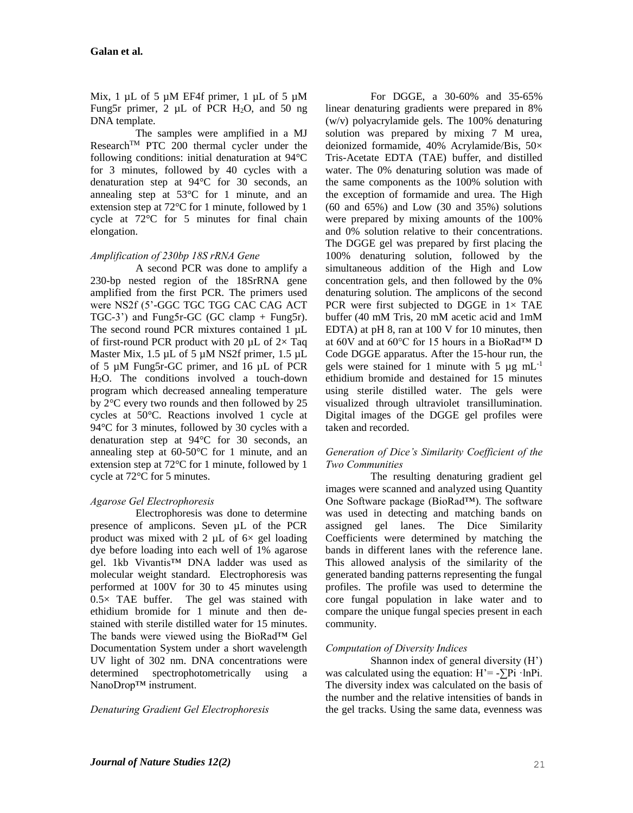Mix, 1  $\mu$ L of 5  $\mu$ M EF4f primer, 1  $\mu$ L of 5  $\mu$ M Fung5r primer, 2  $\mu$ L of PCR H<sub>2</sub>O, and 50 ng DNA template.

The samples were amplified in a MJ Research<sup>TM</sup> PTC 200 thermal cycler under the following conditions: initial denaturation at 94°C for 3 minutes, followed by 40 cycles with a denaturation step at 94°C for 30 seconds, an annealing step at 53°C for 1 minute, and an extension step at 72°C for 1 minute, followed by 1 cycle at 72°C for 5 minutes for final chain elongation.

# *Amplification of 230bp 18S rRNA Gene*

A second PCR was done to amplify a 230-bp nested region of the 18SrRNA gene amplified from the first PCR. The primers used were NS2f (5'-GGC TGC TGG CAC CAG ACT TGC-3') and Fung5r-GC (GC clamp + Fung5r). The second round PCR mixtures contained 1 µL of first-round PCR product with 20  $\mu$ L of 2× Taq Master Mix, 1.5 µL of 5 µM NS2f primer, 1.5 µL of 5 µM Fung5r-GC primer, and 16 µL of PCR H2O. The conditions involved a touch-down program which decreased annealing temperature by 2°C every two rounds and then followed by 25 cycles at 50°C. Reactions involved 1 cycle at 94°C for 3 minutes, followed by 30 cycles with a denaturation step at 94°C for 30 seconds, an annealing step at 60-50°C for 1 minute, and an extension step at 72°C for 1 minute, followed by 1 cycle at 72°C for 5 minutes.

# *Agarose Gel Electrophoresis*

Electrophoresis was done to determine presence of amplicons. Seven µL of the PCR product was mixed with 2  $\mu$ L of 6 $\times$  gel loading dye before loading into each well of 1% agarose gel. 1kb Vivantis™ DNA ladder was used as molecular weight standard. Electrophoresis was performed at 100V for 30 to 45 minutes using  $0.5 \times$  TAE buffer. The gel was stained with ethidium bromide for 1 minute and then destained with sterile distilled water for 15 minutes. The bands were viewed using the BioRad™ Gel Documentation System under a short wavelength UV light of 302 nm. DNA concentrations were determined spectrophotometrically using a NanoDrop™ instrument.

*Denaturing Gradient Gel Electrophoresis*

For DGGE, a 30-60% and 35-65% linear denaturing gradients were prepared in 8% (w/v) polyacrylamide gels. The 100% denaturing solution was prepared by mixing 7 M urea, deionized formamide, 40% Acrylamide/Bis, 50× Tris-Acetate EDTA (TAE) buffer, and distilled water. The 0% denaturing solution was made of the same components as the 100% solution with the exception of formamide and urea. The High (60 and 65%) and Low (30 and 35%) solutions were prepared by mixing amounts of the 100% and 0% solution relative to their concentrations. The DGGE gel was prepared by first placing the 100% denaturing solution, followed by the simultaneous addition of the High and Low concentration gels, and then followed by the 0% denaturing solution. The amplicons of the second PCR were first subjected to DGGE in  $1 \times$  TAE buffer (40 mM Tris, 20 mM acetic acid and 1mM EDTA) at pH 8, ran at 100 V for 10 minutes, then at 60V and at 60°C for 15 hours in a BioRad™ D Code DGGE apparatus. After the 15-hour run, the gels were stained for 1 minute with 5  $\mu$ g mL<sup>-1</sup> ethidium bromide and destained for 15 minutes using sterile distilled water. The gels were visualized through ultraviolet transillumination. Digital images of the DGGE gel profiles were taken and recorded.

## *Generation of Dice's Similarity Coefficient of the Two Communities*

The resulting denaturing gradient gel images were scanned and analyzed using Quantity One Software package (BioRad™). The software was used in detecting and matching bands on assigned gel lanes. The Dice Similarity Coefficients were determined by matching the bands in different lanes with the reference lane. This allowed analysis of the similarity of the generated banding patterns representing the fungal profiles. The profile was used to determine the core fungal population in lake water and to compare the unique fungal species present in each community.

# *Computation of Diversity Indices*

Shannon index of general diversity (H') was calculated using the equation:  $H' = -\sum P_i \cdot lnP_i$ . The diversity index was calculated on the basis of the number and the relative intensities of bands in the gel tracks. Using the same data, evenness was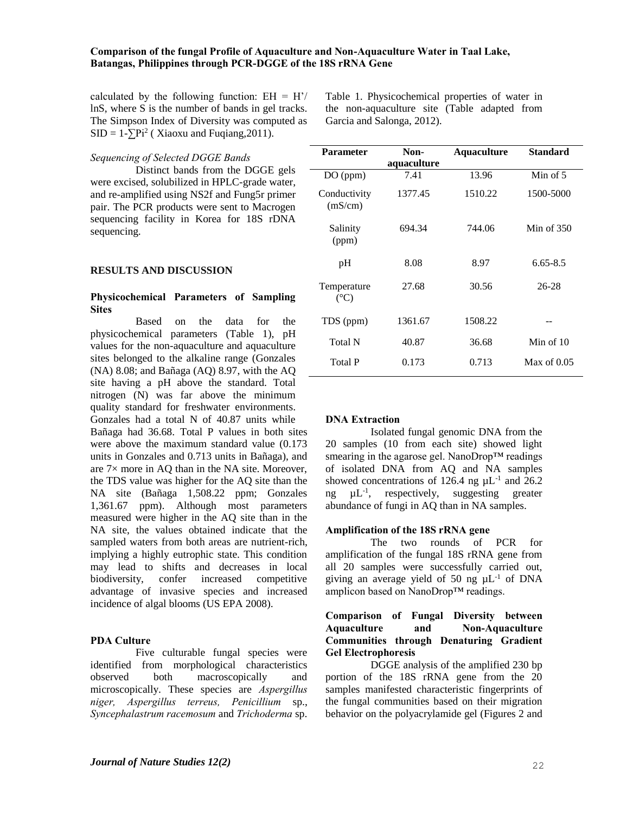calculated by the following function:  $EH = H'/$ lnS, where S is the number of bands in gel tracks. The Simpson Index of Diversity was computed as  $SID = 1-\sum Pi^2$  (Xiaoxu and Fuqiang, 2011).

#### *Sequencing of Selected DGGE Bands*

Distinct bands from the DGGE gels were excised, solubilized in HPLC-grade water, and re-amplified using NS2f and Fung5r primer pair. The PCR products were sent to Macrogen sequencing facility in Korea for 18S rDNA sequencing.

#### **RESULTS AND DISCUSSION**

### **Physicochemical Parameters of Sampling Sites**

Based on the data for the physicochemical parameters (Table 1), pH values for the non-aquaculture and aquaculture sites belonged to the alkaline range (Gonzales (NA) 8.08; and Bañaga (AQ) 8.97, with the AQ site having a pH above the standard. Total nitrogen (N) was far above the minimum quality standard for freshwater environments. Gonzales had a total N of 40.87 units while Bañaga had 36.68. Total P values in both sites were above the maximum standard value (0.173 units in Gonzales and 0.713 units in Bañaga), and are 7× more in AQ than in the NA site. Moreover, the TDS value was higher for the AQ site than the NA site (Bañaga 1,508.22 ppm; Gonzales 1,361.67 ppm). Although most parameters measured were higher in the AQ site than in the NA site, the values obtained indicate that the sampled waters from both areas are nutrient-rich, implying a highly eutrophic state. This condition may lead to shifts and decreases in local biodiversity, confer increased competitive advantage of invasive species and increased incidence of algal blooms (US EPA 2008).

### **PDA Culture**

Five culturable fungal species were identified from morphological characteristics observed both macroscopically and microscopically. These species are *Aspergillus niger, Aspergillus terreus, Penicillium* sp., *Syncephalastrum racemosum* and *Trichoderma* sp.

| <b>Parameter</b>             | Non-<br>aquaculture | <b>Aquaculture</b> | <b>Standard</b> |
|------------------------------|---------------------|--------------------|-----------------|
| DO (ppm)                     | 7.41                | 13.96              | Min of $5$      |
| Conductivity<br>(mS/cm)      | 1377.45             | 1510.22            | 1500-5000       |
| Salinity<br>(ppm)            | 694.34              | 744.06             | Min of $350$    |
| pН                           | 8.08                | 8.97               | $6.65 - 8.5$    |
| Temperature<br>$(^{\circ}C)$ | 27.68               | 30.56              | $26 - 28$       |
| TDS (ppm)                    | 1361.67             | 1508.22            |                 |
| Total N                      | 40.87               | 36.68              | Min of $10$     |
| <b>Total P</b>               | 0.173               | 0.713              | Max of $0.05$   |

Table 1. Physicochemical properties of water in the non-aquaculture site (Table adapted from

Garcia and Salonga, 2012).

#### **DNA Extraction**

Isolated fungal genomic DNA from the 20 samples (10 from each site) showed light smearing in the agarose gel. NanoDrop™ readings of isolated DNA from AQ and NA samples showed concentrations of 126.4 ng  $\mu$ L<sup>-1</sup> and 26.2 ng  $\mu L^{-1}$ , respectively, suggesting greater abundance of fungi in AQ than in NA samples.

#### **Amplification of the 18S rRNA gene**

The two rounds of PCR for amplification of the fungal 18S rRNA gene from all 20 samples were successfully carried out, giving an average yield of 50 ng  $\mu L^{-1}$  of DNA amplicon based on NanoDrop™ readings.

### **Comparison of Fungal Diversity between Aquaculture and Non-Aquaculture Communities through Denaturing Gradient Gel Electrophoresis**

DGGE analysis of the amplified 230 bp portion of the 18S rRNA gene from the 20 samples manifested characteristic fingerprints of the fungal communities based on their migration behavior on the polyacrylamide gel (Figures 2 and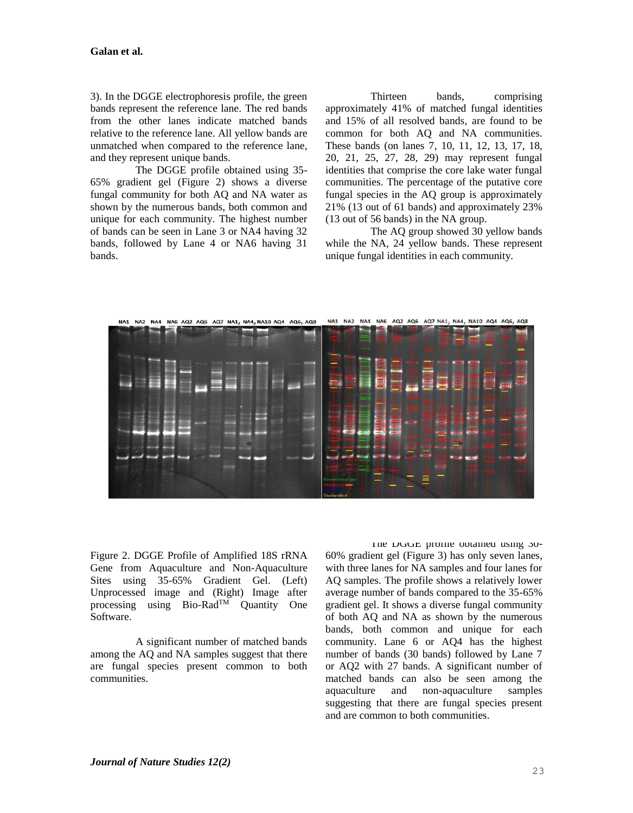3). In the DGGE electrophoresis profile, the green bands represent the reference lane. The red bands from the other lanes indicate matched bands relative to the reference lane. All yellow bands are unmatched when compared to the reference lane, and they represent unique bands.

The DGGE profile obtained using 35- 65% gradient gel (Figure 2) shows a diverse fungal community for both AQ and NA water as shown by the numerous bands, both common and unique for each community. The highest number of bands can be seen in Lane 3 or NA4 having 32 bands, followed by Lane 4 or NA6 having 31 bands.

Thirteen bands, comprising approximately 41% of matched fungal identities and 15% of all resolved bands, are found to be common for both AQ and NA communities. These bands (on lanes 7, 10, 11, 12, 13, 17, 18, 20, 21, 25, 27, 28, 29) may represent fungal identities that comprise the core lake water fungal communities. The percentage of the putative core fungal species in the AQ group is approximately 21% (13 out of 61 bands) and approximately 23% (13 out of 56 bands) in the NA group.

The AQ group showed 30 yellow bands while the NA, 24 yellow bands. These represent unique fungal identities in each community.



Figure 2. DGGE Profile of Amplified 18S rRNA Gene from Aquaculture and Non-Aquaculture Sites using 35-65% Gradient Gel. (Left) Unprocessed image and (Right) Image after processing using Bio-Rad<sup>TM</sup> Quantity One Software.

A significant number of matched bands among the AQ and NA samples suggest that there are fungal species present common to both communities.

The DGGE profile obtained using 30- 60% gradient gel (Figure 3) has only seven lanes, with three lanes for NA samples and four lanes for AQ samples. The profile shows a relatively lower average number of bands compared to the 35-65% gradient gel. It shows a diverse fungal community of both AQ and NA as shown by the numerous bands, both common and unique for each community. Lane 6 or AQ4 has the highest number of bands (30 bands) followed by Lane 7 or AQ2 with 27 bands. A significant number of matched bands can also be seen among the aquaculture and non-aquaculture samples suggesting that there are fungal species present and are common to both communities.

23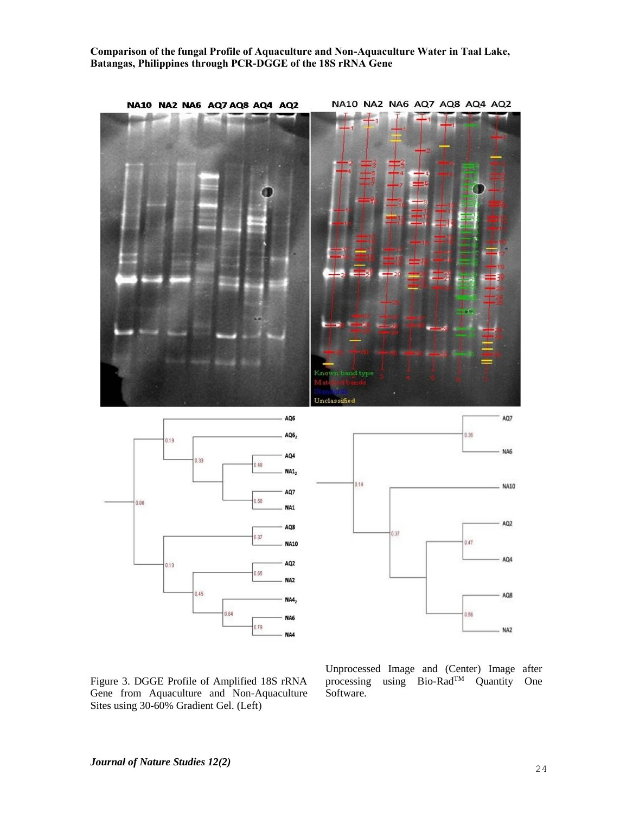

Figure 3. DGGE Profile of Amplified 18S rRNA Gene from Aquaculture and Non-Aquaculture Sites using 30-60% Gradient Gel. (Left)

Unprocessed Image and (Center) Image after processing using Bio-Rad<sup>TM</sup> Quantity One Software.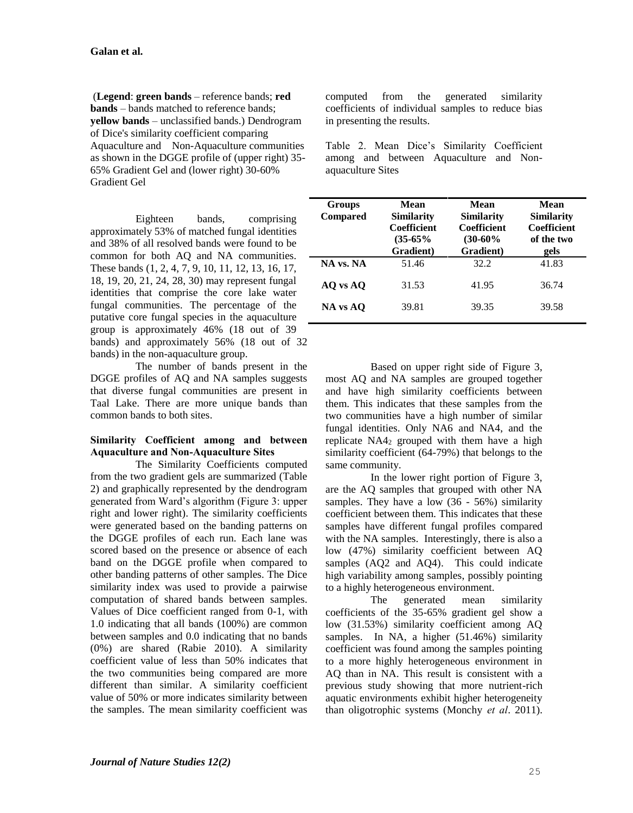(**Legend**: **green bands** – reference bands; **red bands** – bands matched to reference bands; **yellow bands** – unclassified bands.) Dendrogram of Dice's similarity coefficient comparing Aquaculture and Non-Aquaculture communities as shown in the DGGE profile of (upper right) 35- 65% Gradient Gel and (lower right) 30-60% Gradient Gel

Eighteen bands, comprising approximately 53% of matched fungal identities and 38% of all resolved bands were found to be common for both AQ and NA communities. These bands (1, 2, 4, 7, 9, 10, 11, 12, 13, 16, 17, 18, 19, 20, 21, 24, 28, 30) may represent fungal identities that comprise the core lake water fungal communities. The percentage of the putative core fungal species in the aquaculture group is approximately 46% (18 out of 39 bands) and approximately 56% (18 out of 32 bands) in the non-aquaculture group.

The number of bands present in the DGGE profiles of AQ and NA samples suggests that diverse fungal communities are present in Taal Lake. There are more unique bands than common bands to both sites.

## **Similarity Coefficient among and between Aquaculture and Non-Aquaculture Sites**

The Similarity Coefficients computed from the two gradient gels are summarized (Table 2) and graphically represented by the dendrogram generated from Ward's algorithm (Figure 3: upper right and lower right). The similarity coefficients were generated based on the banding patterns on the DGGE profiles of each run. Each lane was scored based on the presence or absence of each band on the DGGE profile when compared to other banding patterns of other samples. The Dice similarity index was used to provide a pairwise computation of shared bands between samples. Values of Dice coefficient ranged from 0-1, with 1.0 indicating that all bands (100%) are common between samples and 0.0 indicating that no bands (0%) are shared (Rabie 2010). A similarity coefficient value of less than 50% indicates that the two communities being compared are more different than similar. A similarity coefficient value of 50% or more indicates similarity between the samples. The mean similarity coefficient was

computed from the generated similarity coefficients of individual samples to reduce bias in presenting the results.

Table 2. Mean Dice's Similarity Coefficient among and between Aquaculture and Nonaquaculture Sites

| <b>Groups</b><br><b>Compared</b> | Mean<br><b>Similarity</b><br>Coefficient<br>$(35-65%$<br>Gradient) | Mean<br><b>Similarity</b><br>Coefficient<br>$(30-60\%$<br>Gradient) | Mean<br>Similarity<br>Coefficient<br>of the two<br>gels |
|----------------------------------|--------------------------------------------------------------------|---------------------------------------------------------------------|---------------------------------------------------------|
| NA vs. NA                        | 51.46                                                              | 32.2                                                                | 41.83                                                   |
| AO vs AO                         | 31.53                                                              | 41.95                                                               | 36.74                                                   |
| NA vs AO                         | 39.81                                                              | 39.35                                                               | 39.58                                                   |

Based on upper right side of Figure 3, most AQ and NA samples are grouped together and have high similarity coefficients between them. This indicates that these samples from the two communities have a high number of similar fungal identities. Only NA6 and NA4, and the replicate NA4<sup>2</sup> grouped with them have a high similarity coefficient (64-79%) that belongs to the same community.

In the lower right portion of Figure 3, are the AQ samples that grouped with other NA samples. They have a low (36 - 56%) similarity coefficient between them. This indicates that these samples have different fungal profiles compared with the NA samples. Interestingly, there is also a low (47%) similarity coefficient between AQ samples (AQ2 and AQ4). This could indicate high variability among samples, possibly pointing to a highly heterogeneous environment.

The generated mean similarity coefficients of the 35-65% gradient gel show a low (31.53%) similarity coefficient among AQ samples. In NA, a higher (51.46%) similarity coefficient was found among the samples pointing to a more highly heterogeneous environment in AQ than in NA. This result is consistent with a previous study showing that more nutrient-rich aquatic environments exhibit higher heterogeneity than oligotrophic systems (Monchy *et al*. 2011).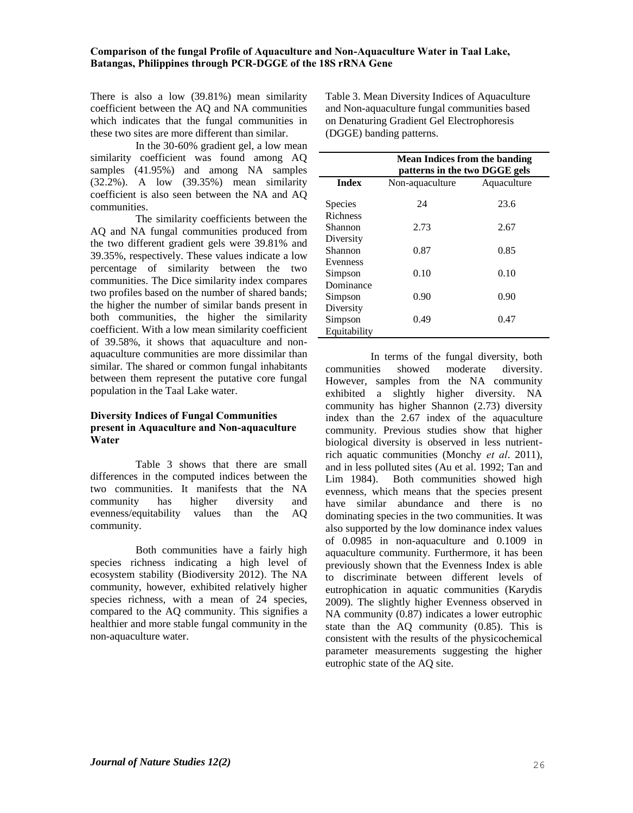There is also a low (39.81%) mean similarity coefficient between the AQ and NA communities which indicates that the fungal communities in these two sites are more different than similar.

In the 30-60% gradient gel, a low mean similarity coefficient was found among AQ samples (41.95%) and among NA samples (32.2%). A low (39.35%) mean similarity coefficient is also seen between the NA and AQ communities.

The similarity coefficients between the AQ and NA fungal communities produced from the two different gradient gels were 39.81% and 39.35%, respectively. These values indicate a low percentage of similarity between the two communities. The Dice similarity index compares two profiles based on the number of shared bands; the higher the number of similar bands present in both communities, the higher the similarity coefficient. With a low mean similarity coefficient of 39.58%, it shows that aquaculture and nonaquaculture communities are more dissimilar than similar. The shared or common fungal inhabitants between them represent the putative core fungal population in the Taal Lake water.

## **Diversity Indices of Fungal Communities present in Aquaculture and Non-aquaculture Water**

Table 3 shows that there are small differences in the computed indices between the two communities. It manifests that the NA community has higher diversity and evenness/equitability values than the AQ community.

Both communities have a fairly high species richness indicating a high level of ecosystem stability (Biodiversity 2012). The NA community, however, exhibited relatively higher species richness, with a mean of 24 species, compared to the AQ community. This signifies a healthier and more stable fungal community in the non-aquaculture water.

Table 3. Mean Diversity Indices of Aquaculture and Non-aquaculture fungal communities based on Denaturing Gradient Gel Electrophoresis (DGGE) banding patterns.

|              | <b>Mean Indices from the banding</b><br>patterns in the two DGGE gels |             |  |
|--------------|-----------------------------------------------------------------------|-------------|--|
| <b>Index</b> | Non-aquaculture                                                       | Aquaculture |  |
| Species      | 24                                                                    | 23.6        |  |
| Richness     |                                                                       |             |  |
| Shannon      | 2.73                                                                  | 2.67        |  |
| Diversity    |                                                                       |             |  |
| Shannon      | 0.87                                                                  | 0.85        |  |
| Evenness     |                                                                       |             |  |
| Simpson      | 0.10                                                                  | 0.10        |  |
| Dominance    |                                                                       |             |  |
| Simpson      | 0.90                                                                  | 0.90        |  |
| Diversity    |                                                                       |             |  |
| Simpson      | 0.49                                                                  | 0.47        |  |
| Equitability |                                                                       |             |  |

In terms of the fungal diversity, both communities showed moderate diversity. However, samples from the NA community exhibited a slightly higher diversity. NA community has higher Shannon (2.73) diversity index than the 2.67 index of the aquaculture community. Previous studies show that higher biological diversity is observed in less nutrientrich aquatic communities (Monchy *et al*. 2011), and in less polluted sites (Au et al. 1992; Tan and Lim 1984). Both communities showed high evenness, which means that the species present have similar abundance and there is no dominating species in the two communities. It was also supported by the low dominance index values of 0.0985 in non-aquaculture and 0.1009 in aquaculture community. Furthermore, it has been previously shown that the Evenness Index is able to discriminate between different levels of eutrophication in aquatic communities (Karydis 2009). The slightly higher Evenness observed in NA community (0.87) indicates a lower eutrophic state than the AQ community (0.85). This is consistent with the results of the physicochemical parameter measurements suggesting the higher eutrophic state of the AQ site.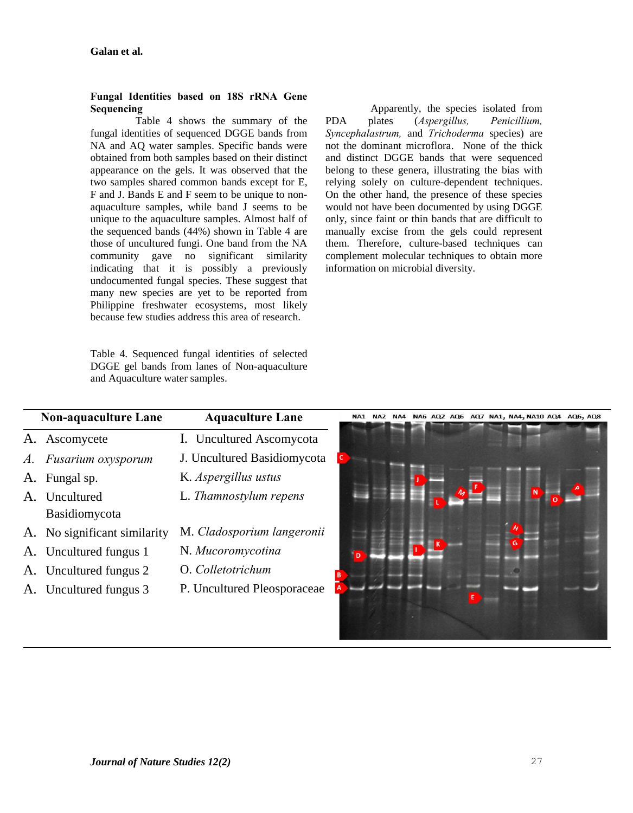## **Fungal Identities based on 18S rRNA Gene Sequencing**

Table 4 shows the summary of the fungal identities of sequenced DGGE bands from NA and AQ water samples. Specific bands were obtained from both samples based on their distinct appearance on the gels. It was observed that the two samples shared common bands except for E, F and J. Bands E and F seem to be unique to nonaquaculture samples, while band J seems to be unique to the aquaculture samples. Almost half of the sequenced bands (44%) shown in Table 4 are those of uncultured fungi. One band from the NA community gave no significant similarity indicating that it is possibly a previously undocumented fungal species. These suggest that many new species are yet to be reported from Philippine freshwater ecosystems, most likely because few studies address this area of research.

Table 4. Sequenced fungal identities of selected DGGE gel bands from lanes of Non-aquaculture and Aquaculture water samples.

Apparently, the species isolated from PDA plates (*Aspergillus, Penicillium, Syncephalastrum,* and *Trichoderma* species) are not the dominant microflora. None of the thick and distinct DGGE bands that were sequenced belong to these genera, illustrating the bias with relying solely on culture-dependent techniques. On the other hand, the presence of these species would not have been documented by using DGGE only, since faint or thin bands that are difficult to manually excise from the gels could represent them. Therefore, culture-based techniques can complement molecular techniques to obtain more information on microbial diversity.

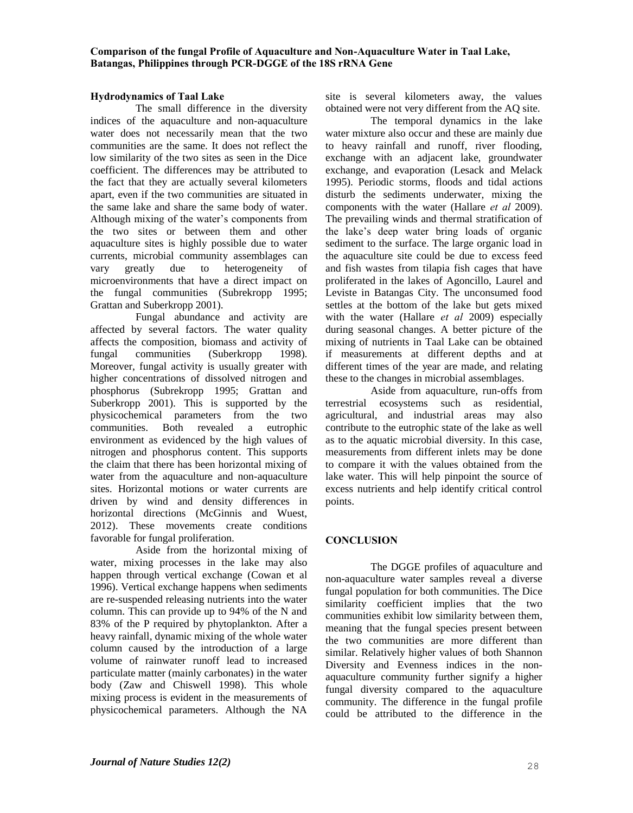## **Hydrodynamics of Taal Lake**

The small difference in the diversity indices of the aquaculture and non-aquaculture water does not necessarily mean that the two communities are the same. It does not reflect the low similarity of the two sites as seen in the Dice coefficient. The differences may be attributed to the fact that they are actually several kilometers apart, even if the two communities are situated in the same lake and share the same body of water. Although mixing of the water's components from the two sites or between them and other aquaculture sites is highly possible due to water currents, microbial community assemblages can vary greatly due to heterogeneity of microenvironments that have a direct impact on the fungal communities (Subrekropp 1995; Grattan and Suberkropp 2001).

Fungal abundance and activity are affected by several factors. The water quality affects the composition, biomass and activity of fungal communities (Suberkropp 1998). Moreover, fungal activity is usually greater with higher concentrations of dissolved nitrogen and phosphorus (Subrekropp 1995; Grattan and Suberkropp 2001). This is supported by the physicochemical parameters from the two communities. Both revealed a eutrophic environment as evidenced by the high values of nitrogen and phosphorus content. This supports the claim that there has been horizontal mixing of water from the aquaculture and non-aquaculture sites. Horizontal motions or water currents are driven by wind and density differences in horizontal directions (McGinnis and Wuest, 2012). These movements create conditions favorable for fungal proliferation.

Aside from the horizontal mixing of water, mixing processes in the lake may also happen through vertical exchange (Cowan et al 1996). Vertical exchange happens when sediments are re-suspended releasing nutrients into the water column. This can provide up to 94% of the N and 83% of the P required by phytoplankton. After a heavy rainfall, dynamic mixing of the whole water column caused by the introduction of a large volume of rainwater runoff lead to increased particulate matter (mainly carbonates) in the water body (Zaw and Chiswell 1998). This whole mixing process is evident in the measurements of physicochemical parameters. Although the NA site is several kilometers away, the values obtained were not very different from the AQ site.

The temporal dynamics in the lake water mixture also occur and these are mainly due to heavy rainfall and runoff, river flooding, exchange with an adjacent lake, groundwater exchange, and evaporation (Lesack and Melack 1995). Periodic storms, floods and tidal actions disturb the sediments underwater, mixing the components with the water (Hallare *et al* 2009). The prevailing winds and thermal stratification of the lake's deep water bring loads of organic sediment to the surface. The large organic load in the aquaculture site could be due to excess feed and fish wastes from tilapia fish cages that have proliferated in the lakes of Agoncillo, Laurel and Leviste in Batangas City. The unconsumed food settles at the bottom of the lake but gets mixed with the water (Hallare *et al* 2009) especially during seasonal changes. A better picture of the mixing of nutrients in Taal Lake can be obtained if measurements at different depths and at different times of the year are made, and relating these to the changes in microbial assemblages.

Aside from aquaculture, run-offs from terrestrial ecosystems such as residential, agricultural, and industrial areas may also contribute to the eutrophic state of the lake as well as to the aquatic microbial diversity. In this case, measurements from different inlets may be done to compare it with the values obtained from the lake water. This will help pinpoint the source of excess nutrients and help identify critical control points.

# **CONCLUSION**

The DGGE profiles of aquaculture and non-aquaculture water samples reveal a diverse fungal population for both communities. The Dice similarity coefficient implies that the two communities exhibit low similarity between them, meaning that the fungal species present between the two communities are more different than similar. Relatively higher values of both Shannon Diversity and Evenness indices in the nonaquaculture community further signify a higher fungal diversity compared to the aquaculture community. The difference in the fungal profile could be attributed to the difference in the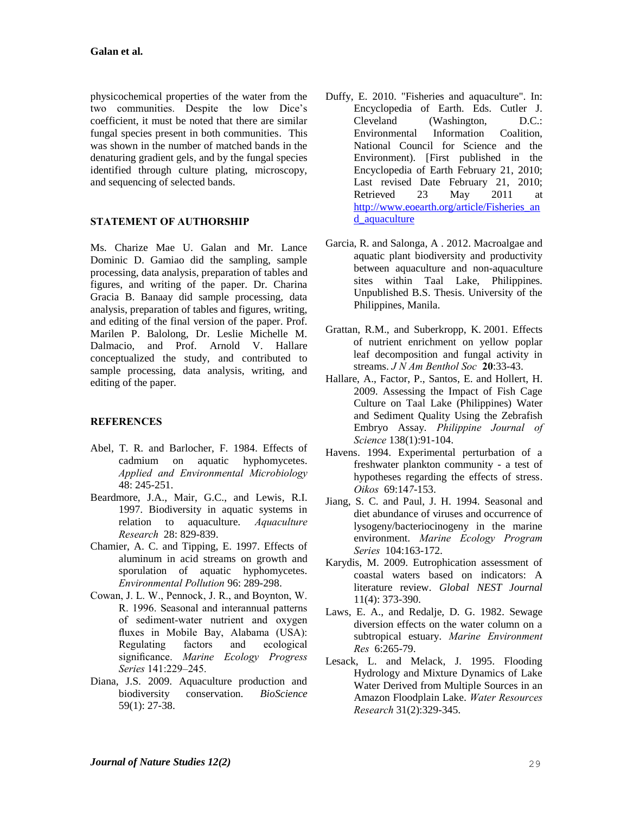physicochemical properties of the water from the two communities. Despite the low Dice's coefficient, it must be noted that there are similar fungal species present in both communities. This was shown in the number of matched bands in the denaturing gradient gels, and by the fungal species identified through culture plating, microscopy, and sequencing of selected bands.

# **STATEMENT OF AUTHORSHIP**

Ms. Charize Mae U. Galan and Mr. Lance Dominic D. Gamiao did the sampling, sample processing, data analysis, preparation of tables and figures, and writing of the paper. Dr. Charina Gracia B. Banaay did sample processing, data analysis, preparation of tables and figures, writing, and editing of the final version of the paper. Prof. Marilen P. Balolong, Dr. Leslie Michelle M. Dalmacio, and Prof. Arnold V. Hallare conceptualized the study, and contributed to sample processing, data analysis, writing, and editing of the paper.

# **REFERENCES**

- Abel, T. R. and Barlocher, F. 1984. Effects of cadmium on aquatic hyphomycetes. *Applied and Environmental Microbiology* 48: 245-251.
- Beardmore, J.A., Mair, G.C., and Lewis, R.I. 1997. Biodiversity in aquatic systems in relation to aquaculture. *Aquaculture Research* 28: 829-839.
- Chamier, A. C. and Tipping, E. 1997. Effects of aluminum in acid streams on growth and sporulation of aquatic hyphomycetes. *Environmental Pollution* 96: 289-298.
- Cowan, J. L. W., Pennock, J. R., and Boynton, W. R. 1996. Seasonal and interannual patterns of sediment-water nutrient and oxygen fluxes in Mobile Bay, Alabama (USA): Regulating factors and ecological significance. *Marine Ecology Progress Series* 141:229–245.
- Diana, J.S. 2009. Aquaculture production and biodiversity conservation. *BioScience* 59(1): 27-38.
- Duffy, E. 2010. "Fisheries and aquaculture". In: Encyclopedia of Earth. Eds. Cutler J. Cleveland (Washington, D.C.: Environmental Information Coalition, National Council for Science and the Environment). [First published in the Encyclopedia of Earth February 21, 2010; Last revised Date February 21, 2010; Retrieved 23 May 2011 at [http://www.eoearth.org/article/Fisheries\\_an](http://www.eoearth.org/article/Fisheries_and_aquaculture) [d\\_aquaculture](http://www.eoearth.org/article/Fisheries_and_aquaculture)
- Garcia, R. and Salonga, A . 2012. Macroalgae and aquatic plant biodiversity and productivity between aquaculture and non-aquaculture sites within Taal Lake, Philippines. Unpublished B.S. Thesis. University of the Philippines, Manila.
- Grattan, R.M., and Suberkropp, K. 2001. Effects of nutrient enrichment on yellow poplar leaf decomposition and fungal activity in streams. *J N Am Benthol Soc* **20**:33-43.
- Hallare, A., Factor, P., Santos, E. and Hollert, H. 2009. Assessing the Impact of Fish Cage Culture on Taal Lake (Philippines) Water and Sediment Quality Using the Zebrafish Embryo Assay. *Philippine Journal of Science* 138(1):91-104.
- Havens. 1994. Experimental perturbation of a freshwater plankton community - a test of hypotheses regarding the effects of stress. *Oikos* 69:14*7*-153.
- Jiang, S. C. and Paul, J. H. 1994. Seasonal and diet abundance of viruses and occurrence of lysogeny/bacteriocinogeny in the marine environment. *Marine Ecology Program Series* 104:163-172.
- Karydis, M. 2009. Eutrophication assessment of coastal waters based on indicators: A literature review. *Global NEST Journal* 11(4): 373-390.
- Laws, E. A., and Redalje, D. G. 1982. Sewage diversion effects on the water column on a subtropical estuary. *Marine Environment Res* 6:265-79.
- Lesack, L. and Melack, J. 1995. Flooding Hydrology and Mixture Dynamics of Lake Water Derived from Multiple Sources in an Amazon Floodplain Lake. *Water Resources Research* 31(2):329-345.